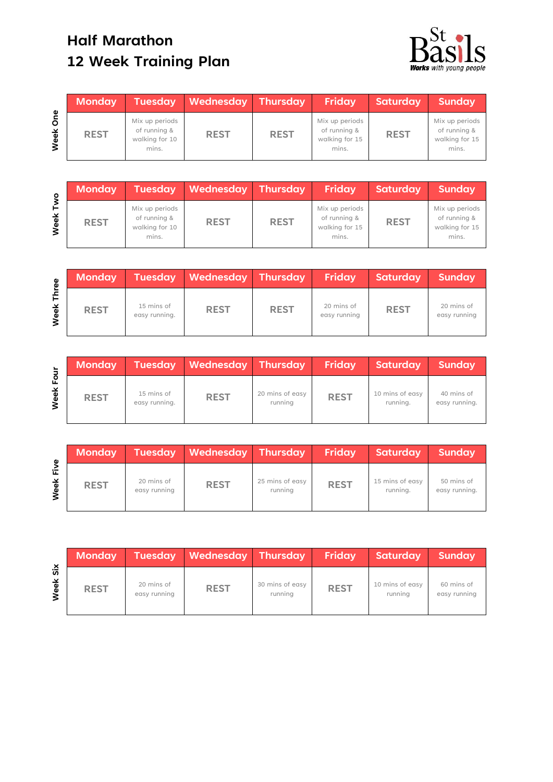## **Half Marathon 12 Week Training Plan**



|             | <b>Monday</b> | <b>Tuesday</b>                                            | <b>Wednesday Thursday</b> |             | Friday                                                    | Saturday    | <b>Sunday</b>                                             |
|-------------|---------------|-----------------------------------------------------------|---------------------------|-------------|-----------------------------------------------------------|-------------|-----------------------------------------------------------|
| One<br>Week | <b>REST</b>   | Mix up periods<br>of running &<br>walking for 10<br>mins. | <b>REST</b>               | <b>REST</b> | Mix up periods<br>of running &<br>walking for 15<br>mins. | <b>REST</b> | Mix up periods<br>of running &<br>walking for 15<br>mins. |

| ō         | <b>Monday</b> |                                                           | Tuesday Wednesday Thursday |             | Friday                                                    | <b>Saturday</b> | <b>Sunday</b>                                             |
|-----------|---------------|-----------------------------------------------------------|----------------------------|-------------|-----------------------------------------------------------|-----------------|-----------------------------------------------------------|
| ⊢<br>Week | <b>REST</b>   | Mix up periods<br>of running &<br>walking for 10<br>mins. | <b>REST</b>                | <b>REST</b> | Mix up periods<br>of running &<br>walking for 15<br>mins. | <b>REST</b>     | Mix up periods<br>of running &<br>walking for 15<br>mins. |

| စိ   | <b>Monday</b> | <b>Tuesday</b>              | <b>Wednesday Thursday</b> |             | Friday                     | Saturday    | <b>Sunday</b>              |
|------|---------------|-----------------------------|---------------------------|-------------|----------------------------|-------------|----------------------------|
| Week | <b>REST</b>   | 15 mins of<br>easy running. | <b>REST</b>               | <b>REST</b> | 20 mins of<br>easy running | <b>REST</b> | 20 mins of<br>easy running |

|                  | <b>Monday</b> | <b>Tuesday</b>              | Wednesday Thursday |                            | Friday      | Saturday                    | <b>Sunday</b>               |
|------------------|---------------|-----------------------------|--------------------|----------------------------|-------------|-----------------------------|-----------------------------|
| ⊻<br><b>Neel</b> | <b>REST</b>   | 15 mins of<br>easy running. | <b>REST</b>        | 20 mins of easy<br>running | <b>REST</b> | 10 mins of easy<br>running. | 40 mins of<br>easy running. |

| Φ         | <b>Monday</b> | <b>Tuesday</b>             | Wednesday Thursday |                            | <b>Friday</b> | Saturday                    | Sunday                      |
|-----------|---------------|----------------------------|--------------------|----------------------------|---------------|-----------------------------|-----------------------------|
| 讵<br>Week | <b>REST</b>   | 20 mins of<br>easy running | <b>REST</b>        | 25 mins of easy<br>running | <b>REST</b>   | 15 mins of easy<br>running. | 50 mins of<br>easy running. |

**Week Six**

| <b>Monday</b> | <b>Tuesday</b>             | Wednesday Thursday |                            | Friday      | Saturday                   | <b>Sunday</b>              |
|---------------|----------------------------|--------------------|----------------------------|-------------|----------------------------|----------------------------|
| <b>REST</b>   | 20 mins of<br>easy running | <b>REST</b>        | 30 mins of easy<br>running | <b>REST</b> | 10 mins of easy<br>running | 60 mins of<br>easy running |